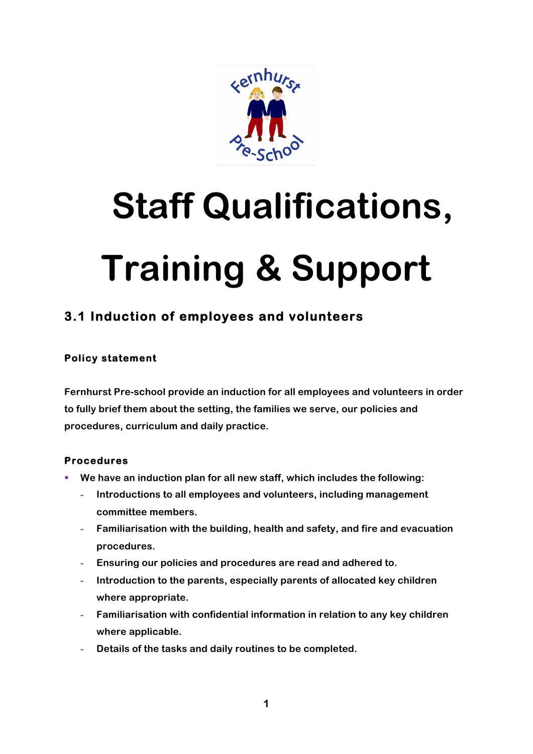

# **Staff Qualifications, Training & Support**

# **3.1 Induction of employees and volunteers**

## **Policy statement**

**Fernhurst Pre-school provide an induction for all employees and volunteers in order to fully brief them about the setting, the families we serve, our policies and procedures, curriculum and daily practice.**

### **Procedures**

- § **We have an induction plan for all new staff, which includes the following:**
	- **- Introductions to all employees and volunteers, including management committee members.**
	- **- Familiarisation with the building, health and safety, and fire and evacuation procedures.**
	- **- Ensuring our policies and procedures are read and adhered to.**
	- **- Introduction to the parents, especially parents of allocated key children where appropriate.**
	- **- Familiarisation with confidential information in relation to any key children where applicable.**
	- **- Details of the tasks and daily routines to be completed.**